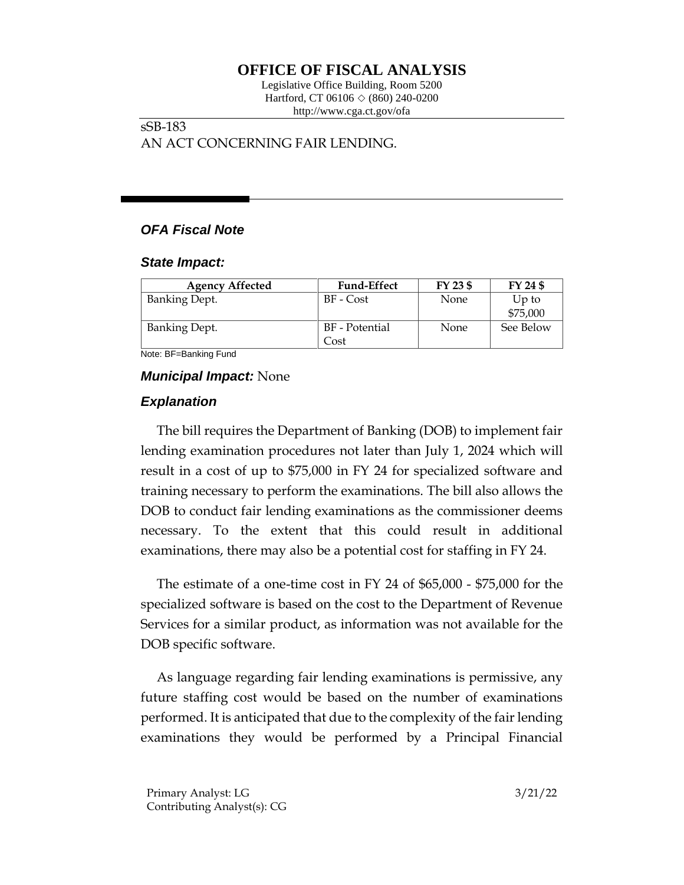# **OFFICE OF FISCAL ANALYSIS**

Legislative Office Building, Room 5200 Hartford, CT 06106  $\Diamond$  (860) 240-0200 http://www.cga.ct.gov/ofa

## sSB-183 AN ACT CONCERNING FAIR LENDING.

# *OFA Fiscal Note*

#### *State Impact:*

| <b>Agency Affected</b> | <b>Fund-Effect</b>     | FY 23 \$ | FY 24 \$          |
|------------------------|------------------------|----------|-------------------|
| <b>Banking Dept.</b>   | BF - Cost              | None     | Up to<br>\$75,000 |
| <b>Banking Dept.</b>   | BF - Potential<br>Cost | None     | See Below         |

Note: BF=Banking Fund

## *Municipal Impact:* None

# *Explanation*

The bill requires the Department of Banking (DOB) to implement fair lending examination procedures not later than July 1, 2024 which will result in a cost of up to \$75,000 in FY 24 for specialized software and training necessary to perform the examinations. The bill also allows the DOB to conduct fair lending examinations as the commissioner deems necessary. To the extent that this could result in additional examinations, there may also be a potential cost for staffing in FY 24.

The estimate of a one-time cost in FY 24 of \$65,000 - \$75,000 for the specialized software is based on the cost to the Department of Revenue Services for a similar product, as information was not available for the DOB specific software.

As language regarding fair lending examinations is permissive, any future staffing cost would be based on the number of examinations performed. It is anticipated that due to the complexity of the fair lending examinations they would be performed by a Principal Financial